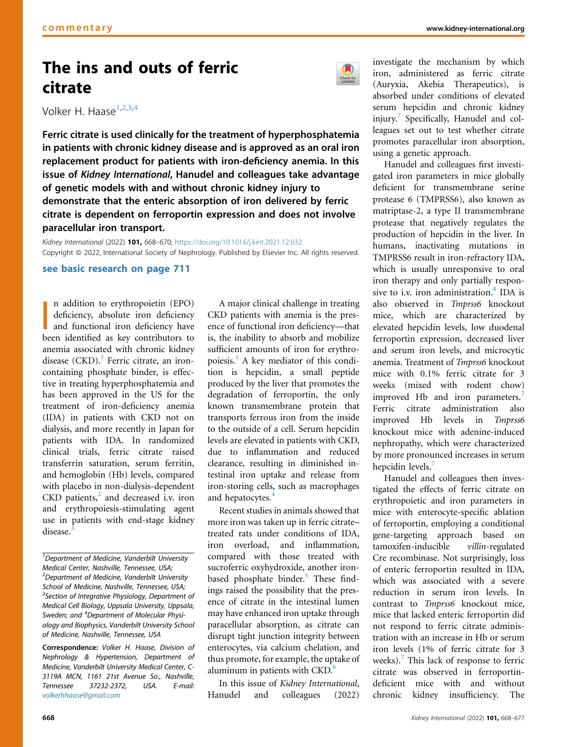# The ins and outs of ferric citrate

Volker H. Haase<sup>1,2,3,4</sup>

Ferric citrate is used clinically for the treatment of hyperphosphatemia in patients with chronic kidney disease and is approved as an oral iron replacement product for patients with iron-deficiency anemia. In this issue of Kidney International, Hanudel and colleagues take advantage of genetic models with and without chronic kidney injury to demonstrate that the enteric absorption of iron delivered by ferric citrate is dependent on ferroportin expression and does not involve paracellular iron transport.

Kidney International (2022) 101, 668–670; <https://doi.org/10.1016/j.kint.2021.12.032> Copyright @ 2022, International Society of Nephrology. Published by Elsevier Inc. All rights reserved.

## [see basic research on page 711](https://www.kidney-international.org/article/S0085-2538(21)01077-2/fulltext)

n addition to erythropoietin (EPO)<br>deficiency, absolute iron deficiency<br>and functional iron deficiency have<br>been identified as key contributors to n addition to erythropoietin (EPO) deficiency, absolute iron deficiency and functional iron deficiency have anemia associated with chronic kidney disease  $(CKD)$ .<sup>1</sup> Ferric citrate, an ironcontaining phosphate binder, is effective in treating hyperphosphatemia and has been approved in the US for the treatment of iron-deficiency anemia (IDA) in patients with CKD not on dialysis, and more recently in Japan for patients with IDA. In randomized clinical trials, ferric citrate raised transferrin saturation, serum ferritin, and hemoglobin (Hb) levels, compared with placebo in non-dialysis-dependent  $CKD$  patients, $2$  and decreased i.v. iron and erythropoiesis-stimulating agent use in patients with end-stage kidney disease<sup>[3](#page-2-2)</sup>

<sup>1</sup>Department of Medicine, Vanderbilt University Medical Center, Nashville, Tennessee, USA; <sup>2</sup>Department of Medicine, Vanderbilt University School of Medicine, Nashville, Tennessee, USA; <sup>3</sup>Section of Integrative Physiology, Department of Medical Cell Biology, Uppsala University, Uppsala, Sweden; and <sup>4</sup>Department of Molecular Physiology and Biophysics, Vanderbilt University School of Medicine, Nashville, Tennessee, USA

Correspondence: Volker H. Haase, Division of Nephrology & Hypertension, Department of Medicine, Vanderbilt University Medical Center, C-3119A MCN, 1161 21st Avenue So., Nashville, Tennessee 37232-2372, USA. E-mail: [volkerhhaase@gmail.com](mailto:volkerhhaase@gmail.com)

A major clinical challenge in treating CKD patients with anemia is the presence of functional iron deficiency—that is, the inability to absorb and mobilize sufficient amounts of iron for erythro-poiesis.<sup>[1](#page-2-0)</sup> A key mediator of this condition is hepcidin, a small peptide produced by the liver that promotes the degradation of ferroportin, the only known transmembrane protein that transports ferrous iron from the inside to the outside of a cell. Serum hepcidin levels are elevated in patients with CKD, due to inflammation and reduced clearance, resulting in diminished intestinal iron uptake and release from iron-storing cells, such as macrophages and hepatocytes.<sup>[4](#page-2-3)</sup>

Recent studies in animals showed that more iron was taken up in ferric citrate– treated rats under conditions of IDA, iron overload, and inflammation, compared with those treated with sucroferric oxyhydroxide, another iron-based phosphate binder.<sup>[5](#page-2-4)</sup> These findings raised the possibility that the presence of citrate in the intestinal lumen may have enhanced iron uptake through paracellular absorption, as citrate can disrupt tight junction integrity between enterocytes, via calcium chelation, and thus promote, for example, the uptake of aluminum in patients with  $CKD<sup>6</sup>$  $CKD<sup>6</sup>$  $CKD<sup>6</sup>$ .

In this issue of Kidney International, Hanudel and colleagues (2022)



Hanudel and colleagues first investigated iron parameters in mice globally deficient for transmembrane serine protease 6 (TMPRSS6), also known as matriptase-2, a type II transmembrane protease that negatively regulates the production of hepcidin in the liver. In humans, inactivating mutations in TMPRSS6 result in iron-refractory IDA, which is usually unresponsive to oral iron therapy and only partially respon-sive to i.v. iron administration.<sup>[8](#page-2-7)</sup> IDA is also observed in Tmprss6 knockout mice, which are characterized by elevated hepcidin levels, low duodenal ferroportin expression, decreased liver and serum iron levels, and microcytic anemia. Treatment of Tmprss6 knockout mice with 0.1% ferric citrate for 3 weeks (mixed with rodent chow) improved Hb and iron parameters.<sup>[7](#page-2-6)</sup> Ferric citrate administration also improved Hb levels in Tmprss6 knockout mice with adenine-induced nephropathy, which were characterized by more pronounced increases in serum hepcidin levels.<sup>[7](#page-2-6)</sup>

Hanudel and colleagues then investigated the effects of ferric citrate on erythropoietic and iron parameters in mice with enterocyte-specific ablation of ferroportin, employing a conditional gene-targeting approach based on tamoxifen-inducible villin-regulated Cre recombinase. Not surprisingly, loss of enteric ferroportin resulted in IDA, which was associated with a severe reduction in serum iron levels. In contrast to Tmprss6 knockout mice, mice that lacked enteric ferroportin did not respond to ferric citrate administration with an increase in Hb or serum iron levels (1% of ferric citrate for 3 weeks). $<sup>7</sup>$  $<sup>7</sup>$  $<sup>7</sup>$  This lack of response to ferric</sup> citrate was observed in ferroportindeficient mice with and without chronic kidney insufficiency. The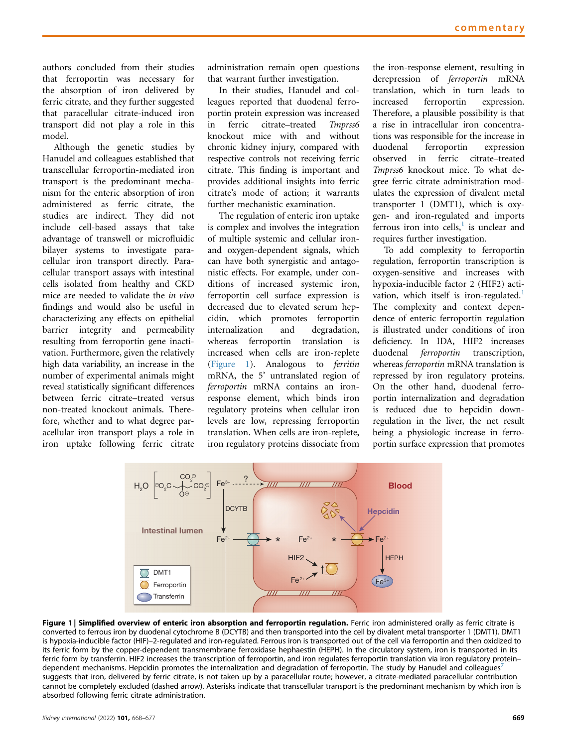authors concluded from their studies that ferroportin was necessary for the absorption of iron delivered by ferric citrate, and they further suggested that paracellular citrate-induced iron transport did not play a role in this model.

Although the genetic studies by Hanudel and colleagues established that transcellular ferroportin-mediated iron transport is the predominant mechanism for the enteric absorption of iron administered as ferric citrate, the studies are indirect. They did not include cell-based assays that take advantage of transwell or microfluidic bilayer systems to investigate paracellular iron transport directly. Paracellular transport assays with intestinal cells isolated from healthy and CKD mice are needed to validate the in vivo findings and would also be useful in characterizing any effects on epithelial barrier integrity and permeability resulting from ferroportin gene inactivation. Furthermore, given the relatively high data variability, an increase in the number of experimental animals might reveal statistically significant differences between ferric citrate–treated versus non-treated knockout animals. Therefore, whether and to what degree paracellular iron transport plays a role in iron uptake following ferric citrate administration remain open questions that warrant further investigation.

In their studies, Hanudel and colleagues reported that duodenal ferroportin protein expression was increased in ferric citrate–treated Tmprss6 knockout mice with and without chronic kidney injury, compared with respective controls not receiving ferric citrate. This finding is important and provides additional insights into ferric citrate's mode of action; it warrants further mechanistic examination.

The regulation of enteric iron uptake is complex and involves the integration of multiple systemic and cellular ironand oxygen-dependent signals, which can have both synergistic and antagonistic effects. For example, under conditions of increased systemic iron, ferroportin cell surface expression is decreased due to elevated serum hepcidin, which promotes ferroportin internalization and degradation, whereas ferroportin translation is increased when cells are iron-replete [\(Figure 1\)](#page-1-0). Analogous to ferritin mRNA, the 5' untranslated region of ferroportin mRNA contains an ironresponse element, which binds iron regulatory proteins when cellular iron levels are low, repressing ferroportin translation. When cells are iron-replete, iron regulatory proteins dissociate from

the iron-response element, resulting in derepression of ferroportin mRNA translation, which in turn leads to increased ferroportin expression. Therefore, a plausible possibility is that a rise in intracellular iron concentrations was responsible for the increase in duodenal ferroportin expression observed in ferric citrate–treated Tmprss6 knockout mice. To what degree ferric citrate administration modulates the expression of divalent metal transporter 1 (DMT1), which is oxygen- and iron-regulated and imports ferrous iron into cells, $\frac{1}{1}$  $\frac{1}{1}$  $\frac{1}{1}$  is unclear and requires further investigation.

To add complexity to ferroportin regulation, ferroportin transcription is oxygen-sensitive and increases with hypoxia-inducible factor 2 (HIF2) acti-vation, which itself is iron-regulated.<sup>[1](#page-2-0)</sup> The complexity and context dependence of enteric ferroportin regulation is illustrated under conditions of iron deficiency. In IDA, HIF2 increases duodenal ferroportin transcription, whereas ferroportin mRNA translation is repressed by iron regulatory proteins. On the other hand, duodenal ferroportin internalization and degradation is reduced due to hepcidin downregulation in the liver, the net result being a physiologic increase in ferroportin surface expression that promotes

<span id="page-1-0"></span>

Figure 1 | Simplified overview of enteric iron absorption and ferroportin regulation. Ferric iron administered orally as ferric citrate is converted to ferrous iron by duodenal cytochrome B (DCYTB) and then transported into the cell by divalent metal transporter 1 (DMT1). DMT1 is hypoxia-inducible factor (HIF)–2-regulated and iron-regulated. Ferrous iron is transported out of the cell via ferroportin and then oxidized to its ferric form by the copper-dependent transmembrane ferroxidase hephaestin (HEPH). In the circulatory system, iron is transported in its ferric form by transferrin. HIF2 increases the transcription of ferroportin, and iron regulates ferroportin translation via iron regulatory protein– dependent mechanisms. Hepcidin promotes the internalization and degradation of ferroportin. The study by Hanudel and colleagues<sup>[7](#page-2-6)</sup> suggests that iron, delivered by ferric citrate, is not taken up by a paracellular route; however, a citrate-mediated paracellular contribution cannot be completely excluded (dashed arrow). Asterisks indicate that transcellular transport is the predominant mechanism by which iron is absorbed following ferric citrate administration.